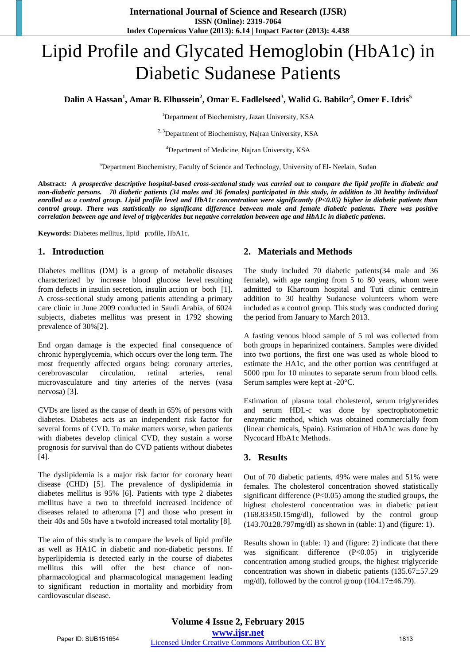# Lipid Profile and Glycated Hemoglobin (HbA1c) in Diabetic Sudanese Patients

**Dalin A Hassan<sup>1</sup> , Amar B. Elhussein<sup>2</sup> , Omar E. Fadlelseed<sup>3</sup> , Walid G. Babikr<sup>4</sup> , Omer F. Idris<sup>5</sup>**

<sup>1</sup>Department of Biochemistry, Jazan University, KSA

<sup>2, 3</sup>Department of Biochemistry, Najran University, KSA

<sup>4</sup>Department of Medicine, Najran University, KSA

<sup>5</sup>Department Biochemistry, Faculty of Science and Technology, University of El- Neelain, Sudan

**Abstract***: [A prospective descriptive hospital-based cross-sectional s](https://sites.google.com/site/photonfoundationorganization/home/the-journal-of-physiology-and-health)tudy was carried out to compare the lipid profile in diabetic and non-diabetic persons. 70 diabetic patients (34 males and 36 females) participated in this study, in addition to 30 healthy individual enrolled as a control group. Lipid profile level and HbA1c concentration were significantly (P<0.05) higher in diabetic patients than control group. There was statistically no significant difference between male and female diabetic patients. There was positive correlation between age and level of triglycerides but negative correlation between age and HbA1c in diabetic patients.* 

**Keywords:** Diabetes mellitus, lipid profile, HbA1c.

## **1. Introduction**

Diabetes mellitus (DM) is a group of metabolic diseases characterized by increase blood glucose level resulting from defects in insulin secretion, insulin action or both [1]. A cross-sectional study among patients attending a primary care clinic in June 2009 conducted in Saudi Arabia, of 6024 subjects, diabetes mellitus was present in 1792 showing prevalence of 30%[2].

End organ damage is the expected final consequence of chronic hyperglycemia, which occurs over the long term. The most frequently affected organs being: coronary arteries, cerebrovascular circulation, retinal arteries, renal microvasculature and tiny arteries of the nerves (vasa nervosa) [3].

CVDs are listed as the cause of death in 65% of persons with diabetes. Diabetes acts as an independent risk factor for several forms of CVD. To make matters worse, when patients with diabetes develop clinical CVD, they sustain a worse prognosis for survival than do CVD patients without diabetes [4].

The dyslipidemia is a major risk factor for coronary heart disease (CHD) [5]. The prevalence of dyslipidemia in diabetes mellitus is 95% [6]. Patients with type 2 diabetes mellitus have a two to threefold increased incidence of diseases related to atheroma [7] and those who present in their 40s and 50s have a twofold increased total mortality [8].

The aim of this study is to compare the levels of lipid profile as well as HA1C in diabetic and non-diabetic persons. If hyperlipidemia is detected early in the course of diabetes mellitus this will offer the best chance of nonpharmacological and pharmacological management leading to significant reduction in mortality and morbidity from cardiovascular disease.

## **2. Materials and Methods**

The study included 70 diabetic patients(34 male and 36 female), with age ranging from 5 to 80 years, whom were admitted to Khartoum hospital and Tuti clinic centre,in addition to 30 healthy Sudanese volunteers whom were included as a control group. This study was conducted during the period from January to March 2013.

A fasting venous blood sample of 5 ml was collected from both groups in heparinized containers. Samples were divided into two portions, the first one was used as whole blood to estimate the HA1c, and the other portion was centrifuged at 5000 rpm for 10 minutes to separate serum from blood cells. Serum samples were kept at -20°C.

Estimation of plasma total cholesterol, serum triglycerides and serum HDL-c was done by spectrophotometric enzymatic method, which was obtained commercially from (linear chemicals, Spain). Estimation of HbA1c was done by Nycocard HbA1c Methods.

## **3. Results**

Out of 70 diabetic patients, 49% were males and 51% were females. The cholesterol concentration showed statistically significant difference  $(P<0.05)$  among the studied groups, the highest cholesterol concentration was in diabetic patient  $(168.83\pm50.15$ mg/dl), followed by the control group  $(143.70\pm 28.797 \text{mg/dl})$  as shown in (table: 1) and (figure: 1).

Results shown in (table: 1) and (figure: 2) indicate that there was significant difference (P<0.05) in triglyceride concentration among studied groups, the highest triglyceride concentration was shown in diabetic patients  $(135.67 \pm 57.29)$ mg/dl), followed by the control group  $(104.17\pm46.79)$ .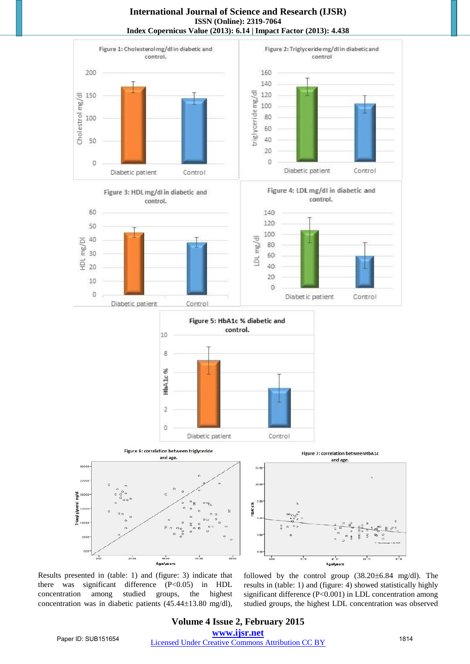#### **International Journal of Science and Research (IJSR) ISSN (Online): 2319-7064 Index Copernicus Value (2013): 6.14 | Impact Factor (2013): 4.438**



Results presented in (table: 1) and (figure: 3) indicate that there was significant difference (P<0.05) in HDL concentration among studied groups, the highest concentration was in diabetic patients  $(45.44 \pm 13.80 \text{ mg/dl})$ ,

followed by the control group  $(38.20 \pm 6.84 \text{ mg/dl})$ . The results in (table: 1) and (figure: 4) showed statistically highly significant difference (P<0.001) in LDL concentration among studied groups, the highest LDL concentration was observed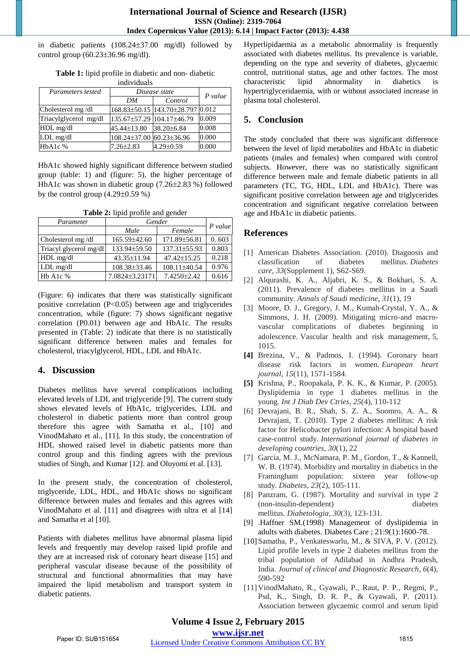in diabetic patients (108.24±37.00 mg/dl) followed by control group  $(60.23 \pm 36.96 \text{ mg/dl}).$ 

| Parameters tested     | Disease state             |                                  |           |
|-----------------------|---------------------------|----------------------------------|-----------|
|                       | DM                        | Control                          | $P$ value |
| Cholesterol mg/dl     |                           | 168.83±50.15 143.70±28.797 0.012 |           |
| Triacylglycerol mg/dl | 135.67±57.29 104.17±46.79 |                                  | 0.009     |
| HDL mg/dl             | 45.44±13.80               | 38.20±6.84                       | 0.008     |
| $LDL$ mg/dl           | 108.24±37.00 60.23±36.96  |                                  | 0.000     |
| HbA1c %               | $7.26 \pm 2.83$           | $4.29 \pm 0.59$                  | 0.000     |

**Table 1:** lipid profile in diabetic and non- diabetic individuals

HbA1c showed highly significant difference between studied group (table: 1) and (figure: 5), the higher percentage of HbA1c was shown in diabetic group  $(7.26\pm2.83\%)$  followed by the control group  $(4.29\pm0.59\%)$ 

**Table 2:** lipid profile and gender

| Parameter              | Gender         |                    | $P$ value |
|------------------------|----------------|--------------------|-----------|
|                        | Male           | Female             |           |
| Cholesterol mg/dl      | 165.59±42.60   | 171.89±56.81       | 0.603     |
| Triacyl glycerol mg/dl | 133.94±59.50   | $137.31 \pm 55.93$ | 0.803     |
| HDL mg/dl              | 43.35±11.94    | $47.42 \pm 15.25$  | 0.218     |
| LDL mg/dl              | 108.38±33.46   | 108.11±40.54       | 0.976     |
| Hb A1c %               | 7.0824±3.23171 | 7.4250±2.42        | 0.616     |

(Figure: 6) indicates that there was statistically significant positive correlation  $(P<0.05)$  between age and triglycerides concentration, while (figure: 7) shows significant negative correlation (P0.01) between age and HbA1c. The results presented in (Table: 2) indicate that there is no statistically significant difference between males and females for cholesterol, triacylglycerol, HDL, LDL and HbA1c.

## **4. Discussion**

Diabetes mellitus have several complications including elevated levels of LDL and triglyceride [9]. The current study shows elevated levels of HbA1c, triglycerides, LDL and cholesterol in diabetic patients more than control group therefore this agree with Samatha et al., [10] and VinodMahato et al., [11]. In this study, the concentration of HDL showed raised level in diabetic patients more than control group and this finding agrees with the previous studies of Singh, and Kumar [12]. and Oluyomi et al. [13].

In the present study, the concentration of cholesterol, triglyceride, LDL, HDL, and HbA1c shows no significant difference between males and females and this agrees with VinodMahato et al. [11] and disagrees with ultra et al [14] and Samatha et al [10].

Patients with diabetes mellitus have abnormal plasma lipid levels and frequently may develop raised lipid profile and they are at increased risk of coronary heart disease [15] and peripheral vascular disease because of the possibility of structural and functional abnormalities that may have impaired the lipid metabolism and transport system in diabetic patients.

Hyperlipidaemia as a metabolic abnormality is frequently associated with diabetes mellitus. Its prevalence is variable, depending on the type and severity of diabetes, glycaemic control, nutritional status, age and other factors. The most characteristic lipid abnormality in diabetics is hypertriglyceridaemia, with or without associated increase in plasma total cholesterol.

# **5. Conclusion**

The study concluded that there was significant difference between the level of lipid metabolites and HbA1c in diabetic patients (males and females) when compared with control subjects. However, there was no statistically significant difference between male and female diabetic patients in all parameters (TC, TG, HDL, LDL and HbA1c). There was significant positive correlation between age and triglycerides concentration and significant negative correlation between age and HbA1c in diabetic patients.

# **References**

- [1] American Diabetes Association. (2010). Diagnosis and classification of diabetes mellitus. *Diabetes care*, *33*(Supplement 1), S62-S69.
- [2] Alqurashi, K. A., Aljabri, K. S., & Bokhari, S. A. (2011). Prevalence of diabetes mellitus in a Saudi community. *Annals of Saudi medicine*, *31*(1), 19
- [3] Moore, D. J., Gregory, J. M., Kumah-Crystal, Y. A., & Simmons, J. H. (2009). Mitigating micro-and macrovascular complications of diabetes beginning in adolescence. Vascular health and risk management, 5, 1015.
- **[4]** Brezina, V., & Padmos, I. (1994). Coronary heart disease risk factors in women. *European heart journal*, *15*(11), 1571-1584.
- **[5]** Krishna, P., Roopakala, P. K. K., & Kumar, P. (2005). Dyslipidemia in type 1 diabetes mellitus in the young. *Int J Diab Dev Ctries*, *25*(4), 110-112
- [6] Devrajani, B. R., Shah, S. Z. A., Soomro, A. A., & Devrajani, T. (2010). Type 2 diabetes mellitus: A risk factor for Helicobacter pylori infection: A hospital based case-control study. *International journal of diabetes in developing countries*, *30*(1), 22
- [7] Garcia, M. J., McNamara, P. M., Gordon, T., & Kannell, W. B. (1974). Morbidity and mortality in diabetics in the Framingham population: sixteen year follow-up study. *Diabetes*, *23*(2), 105-111.
- [8] Panzram, G. (1987). Mortality and survival in type 2 (non-insulin-dependent) diabetes mellitus. *Diabetologia*, *30*(3), 123-131.
- [9] .Haffner SM.(1998) Management of dyslipidemia in adults with diabetes. Diabetes Care ; 21:9(1):1600-78.
- [10]Samatha, P., Venkateswarlu, M., & SIVA, P. V. (2012). Lipid profile levels in type 2 diabetes mellitus from the tribal population of Adilabad in Andhra Pradesh, India. *Journal of clinical and Diagnostic Research*, *6*(4), 590-592
- [11]VinodMahato, R., Gyawali, P., Raut, P. P., Regmi, P., Psd, K., Singh, D. R. P., & Gyawali, P. (2011). Association between glycaemic control and serum lipid